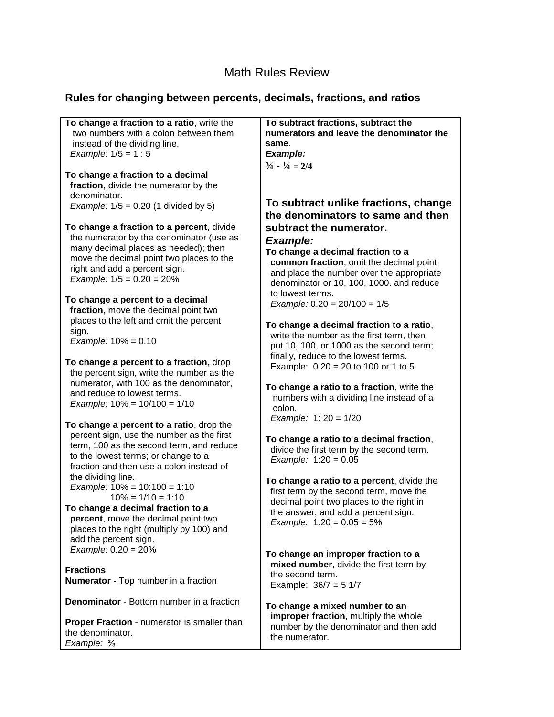## Math Rules Review

## **Rules for changing between percents, decimals, fractions, and ratios**

| To change a fraction to a ratio, write the         | To subtract fractions, subtract the                 |
|----------------------------------------------------|-----------------------------------------------------|
| two numbers with a colon between them              | numerators and leave the denominator the            |
| instead of the dividing line.                      | same.                                               |
| Example: $1/5 = 1:5$                               | Example:                                            |
|                                                    | $\frac{3}{4} - \frac{1}{4} = \frac{2}{4}$           |
| To change a fraction to a decimal                  |                                                     |
| fraction, divide the numerator by the              |                                                     |
| denominator.                                       |                                                     |
| <i>Example:</i> $1/5 = 0.20$ (1 divided by 5)      | To subtract unlike fractions, change                |
|                                                    | the denominators to same and then                   |
| To change a fraction to a percent, divide          | subtract the numerator.                             |
| the numerator by the denominator (use as           |                                                     |
| many decimal places as needed); then               | <b>Example:</b>                                     |
| move the decimal point two places to the           | To change a decimal fraction to a                   |
| right and add a percent sign.                      | common fraction, omit the decimal point             |
| Example: $1/5 = 0.20 = 20\%$                       | and place the number over the appropriate           |
|                                                    | denominator or 10, 100, 1000. and reduce            |
| To change a percent to a decimal                   | to lowest terms.                                    |
| fraction, move the decimal point two               | Example: $0.20 = 20/100 = 1/5$                      |
| places to the left and omit the percent            |                                                     |
| sign.                                              | To change a decimal fraction to a ratio,            |
| Example: $10% = 0.10$                              | write the number as the first term, then            |
|                                                    | put 10, 100, or 1000 as the second term;            |
| To change a percent to a fraction, drop            | finally, reduce to the lowest terms.                |
| the percent sign, write the number as the          | Example: $0.20 = 20$ to 100 or 1 to 5               |
| numerator, with 100 as the denominator,            |                                                     |
| and reduce to lowest terms.                        | To change a ratio to a fraction, write the          |
| Example: $10\% = 10/100 = 1/10$                    | numbers with a dividing line instead of a<br>colon. |
|                                                    |                                                     |
| To change a percent to a ratio, drop the           | Example: $1:20 = 1/20$                              |
| percent sign, use the number as the first          | To change a ratio to a decimal fraction,            |
| term, 100 as the second term, and reduce           | divide the first term by the second term.           |
| to the lowest terms; or change to a                | Example: $1:20 = 0.05$                              |
| fraction and then use a colon instead of           |                                                     |
| the dividing line.                                 | To change a ratio to a percent, divide the          |
| Example: $10\% = 10:100 = 1:10$                    | first term by the second term, move the             |
| $10\% = 1/10 = 1:10$                               | decimal point two places to the right in            |
| To change a decimal fraction to a                  | the answer, and add a percent sign.                 |
| percent, move the decimal point two                | Example: $1:20 = 0.05 = 5\%$                        |
| places to the right (multiply by 100) and          |                                                     |
| add the percent sign.                              |                                                     |
| Example: $0.20 = 20%$                              | To change an improper fraction to a                 |
|                                                    | mixed number, divide the first term by              |
| <b>Fractions</b>                                   | the second term.                                    |
| <b>Numerator - Top number in a fraction</b>        | Example: $36/7 = 51/7$                              |
|                                                    |                                                     |
| <b>Denominator</b> - Bottom number in a fraction   | To change a mixed number to an                      |
|                                                    | improper fraction, multiply the whole               |
| <b>Proper Fraction - numerator is smaller than</b> | number by the denominator and then add              |
| the denominator.                                   | the numerator.                                      |
| Example: %                                         |                                                     |
|                                                    |                                                     |